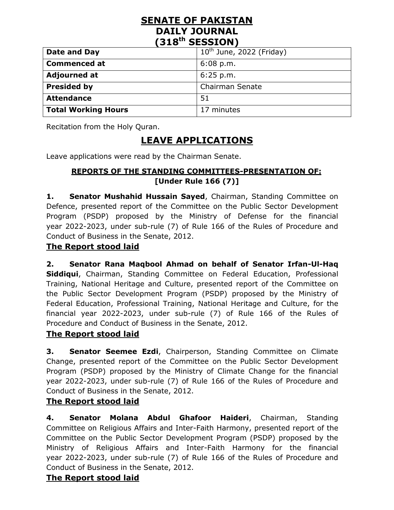## **SENATE OF PAKISTAN DAILY JOURNAL (318th SESSION)**

| Date and Day               | $10^{th}$ June, 2022 (Friday) |
|----------------------------|-------------------------------|
| <b>Commenced at</b>        | $6:08$ p.m.                   |
| <b>Adjourned at</b>        | 6:25 p.m.                     |
| <b>Presided by</b>         | <b>Chairman Senate</b>        |
| <b>Attendance</b>          | -51                           |
| <b>Total Working Hours</b> | 17 minutes                    |

Recitation from the Holy Quran.

# **LEAVE APPLICATIONS**

Leave applications were read by the Chairman Senate.

#### **REPORTS OF THE STANDING COMMITTEES-PRESENTATION OF: [Under Rule 166 (7)]**

**1. Senator Mushahid Hussain Sayed**, Chairman, Standing Committee on Defence, presented report of the Committee on the Public Sector Development Program (PSDP) proposed by the Ministry of Defense for the financial year 2022-2023, under sub-rule (7) of Rule 166 of the Rules of Procedure and Conduct of Business in the Senate, 2012.

#### **The Report stood laid**

**2. Senator Rana Maqbool Ahmad on behalf of Senator Irfan-Ul-Haq Siddiqui**, Chairman, Standing Committee on Federal Education, Professional Training, National Heritage and Culture, presented report of the Committee on the Public Sector Development Program (PSDP) proposed by the Ministry of Federal Education, Professional Training, National Heritage and Culture, for the financial year 2022-2023, under sub-rule (7) of Rule 166 of the Rules of Procedure and Conduct of Business in the Senate, 2012.

## **The Report stood laid**

**3. Senator Seemee Ezdi**, Chairperson, Standing Committee on Climate Change, presented report of the Committee on the Public Sector Development Program (PSDP) proposed by the Ministry of Climate Change for the financial year 2022-2023, under sub-rule (7) of Rule 166 of the Rules of Procedure and Conduct of Business in the Senate, 2012.

#### **The Report stood laid**

**4. Senator Molana Abdul Ghafoor Haideri**, Chairman, Standing Committee on Religious Affairs and Inter-Faith Harmony, presented report of the Committee on the Public Sector Development Program (PSDP) proposed by the Ministry of Religious Affairs and Inter-Faith Harmony for the financial year 2022-2023, under sub-rule (7) of Rule 166 of the Rules of Procedure and Conduct of Business in the Senate, 2012.

#### **The Report stood laid**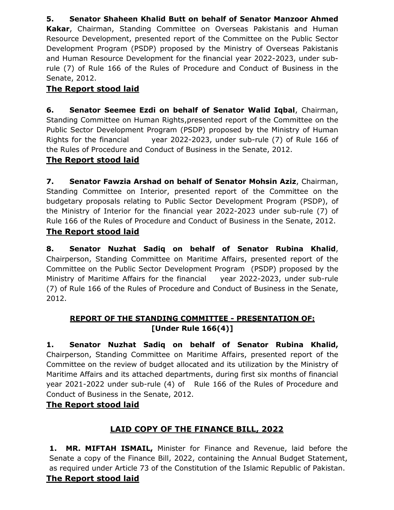**5. Senator Shaheen Khalid Butt on behalf of Senator Manzoor Ahmed Kakar**, Chairman, Standing Committee on Overseas Pakistanis and Human Resource Development, presented report of the Committee on the Public Sector Development Program (PSDP) proposed by the Ministry of Overseas Pakistanis and Human Resource Development for the financial year 2022-2023, under subrule (7) of Rule 166 of the Rules of Procedure and Conduct of Business in the Senate, 2012.

### **The Report stood laid**

**6. Senator Seemee Ezdi on behalf of Senator Walid Iqbal**, Chairman, Standing Committee on Human Rights,presented report of the Committee on the Public Sector Development Program (PSDP) proposed by the Ministry of Human Rights for the financial year 2022-2023, under sub-rule (7) of Rule 166 of the Rules of Procedure and Conduct of Business in the Senate, 2012.

#### **The Report stood laid**

**7. Senator Fawzia Arshad on behalf of Senator Mohsin Aziz**, Chairman, Standing Committee on Interior, presented report of the Committee on the budgetary proposals relating to Public Sector Development Program (PSDP), of the Ministry of Interior for the financial year 2022-2023 under sub-rule (7) of Rule 166 of the Rules of Procedure and Conduct of Business in the Senate, 2012.

#### **The Report stood laid**

**8. Senator Nuzhat Sadiq on behalf of Senator Rubina Khalid**, Chairperson, Standing Committee on Maritime Affairs, presented report of the Committee on the Public Sector Development Program (PSDP) proposed by the Ministry of Maritime Affairs for the financial year 2022-2023, under sub-rule (7) of Rule 166 of the Rules of Procedure and Conduct of Business in the Senate, 2012.

#### **REPORT OF THE STANDING COMMITTEE - PRESENTATION OF: [Under Rule 166(4)]**

**1. Senator Nuzhat Sadiq on behalf of Senator Rubina Khalid,**  Chairperson, Standing Committee on Maritime Affairs, presented report of the Committee on the review of budget allocated and its utilization by the Ministry of Maritime Affairs and its attached departments, during first six months of financial year 2021-2022 under sub-rule (4) of Rule 166 of the Rules of Procedure and Conduct of Business in the Senate, 2012.

#### **The Report stood laid**

## **LAID COPY OF THE FINANCE BILL, 2022**

**1. MR. MIFTAH ISMAIL,** Minister for Finance and Revenue, laid before the Senate a copy of the Finance Bill, 2022, containing the Annual Budget Statement, as required under Article 73 of the Constitution of the Islamic Republic of Pakistan.

#### **The Report stood laid**